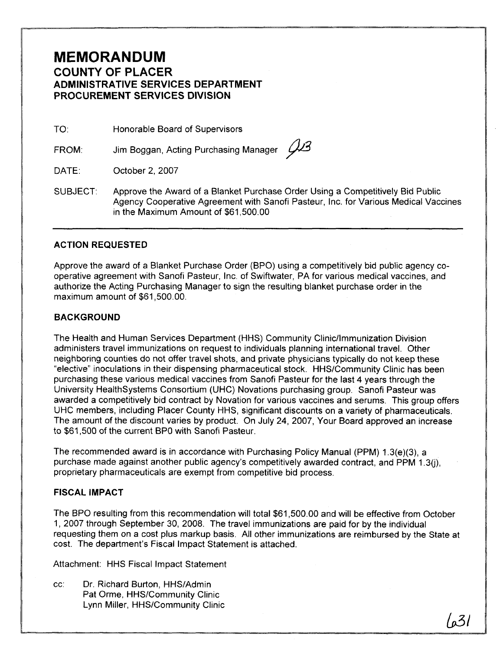## **MEMORANDUM COUNTY OF PLACER ADMINISTRATIVE SERVICES DEPARTMENT PROCUREMENT SERVICES DIVISION**

TO: Honorable Board of Supervisors

FROM: Jim Boggan, Acting Purchasing Manager 43

DATE: October 2, 2007

SUBJECT: Approve the Award of a Blanket Purchase Order Using a Competitively Bid Public Agency Cooperative Agreement with Sanofi Pasteur, Inc. for Various Medical Vaccines in the Maximum Amount of \$61,500.00

### **ACTION REQUESTED**

Approve the award of a Blanket Purchase Order (BPO) using a competitively bid public agency cooperative agreement with Sanofi Pasteur, Inc. of Swiftwater, PA for various medical vaccines, and authorize the Acting Purchasing Manager to sign the resulting blanket purchase order in the maximum amount of \$61,500.00.

### **BACKGROUND**

The Health and Human Services Department (HHS) Community Clinicllmmunization Division administers travel immunizations on request to individuals planning international travel. Other neighboring counties do not offer travel shots, and private physicians typically do not keep these "elective" inoculations in their dispensing pharmaceutical stock. HHSICommunity Clinic has been purchasing these various medical vaccines from Sanofi Pasteur for the last 4 years through the University Healthsystems Consortium (UHC) Novations purchasing group. Sanofi Pasteur was awarded a competitively bid contract by Novation for various vaccines and serums. This group offers UHC members, including Placer County HHS, significant discounts on a variety of pharmaceuticals. The amount of the discount varies by product. On July 24, 2007, Your Board approved an increase to \$61,500 of the current BPO with Sanofi Pasteur.

The recommended award is in accordance with Purchasing Policy Manual (PPM) 1.3(e)(3), a purchase made against another public agency's competitively awarded contract, and PPM 1.3(j), proprietary pharmaceuticals are exempt from competitive bid process.

#### **FISCAL IMPACT**

The BPO resulting from this recommendation will total \$61,500.00 and will be effective from October I, 2007 through September 30, 2008. The travel immunizations are paid for by the individual requesting them on a cost plus markup basis. All other immunizations are reimbursed by the State at cost. The department's Fiscal lmpact Statement is attached.

Attachment: HHS Fiscal lmpact Statement

cc: Dr. Richard Burton, HHSIAdmin Pat Orme, HHS/Community Clinic Lynn Miller, HHSICommunity Clinic

 $\sqrt{27}$